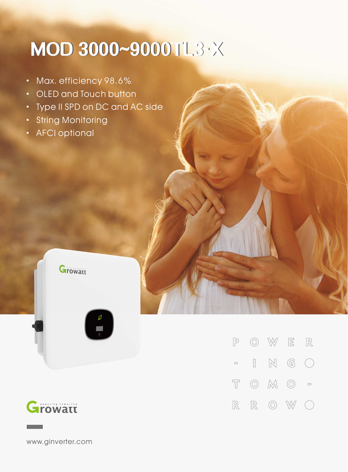## **MOD3000~9000TL3-X**

- · Max. efficiency 98.6%
- · OLED and Touch button
- · Type II SPD on DC and AC side
- · String Monitoring
- **AFCI optional**





 $\circledcirc$  W  $\begin{tabular}{|c|c|c|c|c|} \hline $\rule{0pt}{2ex}$E$ & $\rule{0pt}{2ex}$ R\\ \hline \end{tabular}$  $\mathbb{P}$  $\mathbb{N}$  $\mathbb{G}$  $\begin{array}{ccc} \hline \end{array}$  $\bigcap$  $\hfill \square$  $\overline{\mathbb{T}}$  $\circledcirc$   $\mathbb{M}$   $\circlearrowright$  =  $\mathbb{R}$  $\circledcirc$  $\mathbb{W}$  $\mathbb{R}$  $\left(\begin{array}{c}\right)$ 

www.ginverter.com